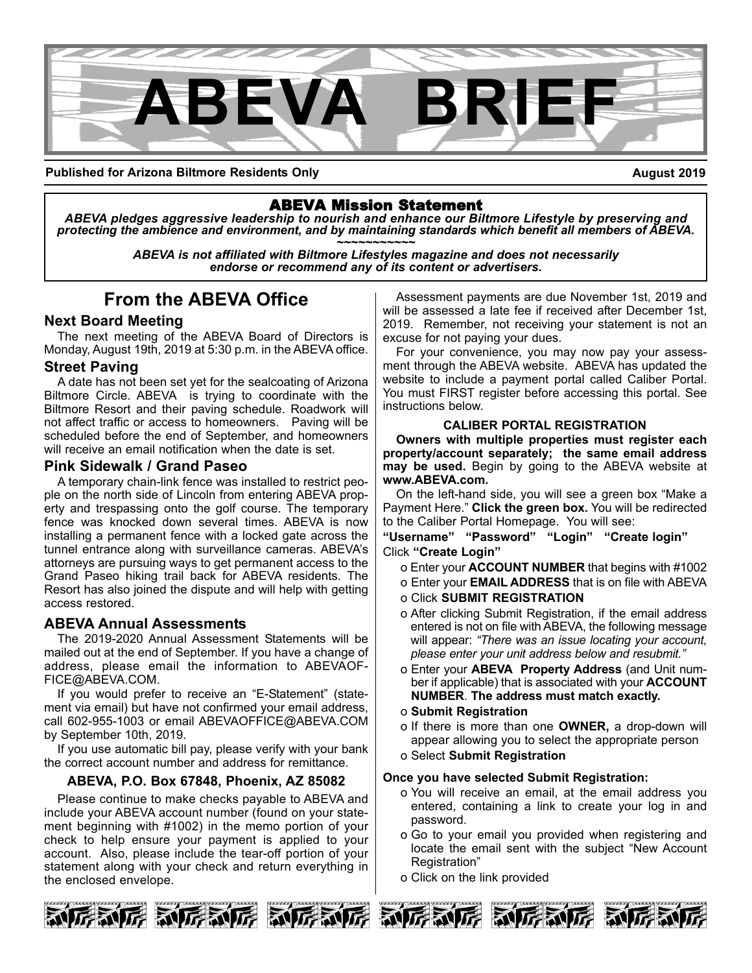

**Published for Arizona Biltmore Residents Only**

**August 2019**

ABEVA Mission Statement *ABEVA pledges aggressive leadership to nourish and enhance our Biltmore Lifestyle by preserving and* protecting the ambience and environment, and by maintaining standards which benefit all members of ABEVA.<br>ABEVA is not affiliated with Biltmore Lifestyles magazine and does not necessarily

*endorse or recommend any of its content or advertisers.*

## **From the ABEVA Office**

## **Next Board Meeting**

The next meeting of the ABEVA Board of Directors is Monday, August 19th, 2019 at 5:30 p.m. in the ABEVA office.

## **Street Paving**

A date has not been set yet for the sealcoating of Arizona Biltmore Circle. ABEVA is trying to coordinate with the Biltmore Resort and their paving schedule. Roadwork will not affect traffic or access to homeowners. Paving will be scheduled before the end of September, and homeowners will receive an email notification when the date is set.

## **Pink Sidewalk / Grand Paseo**

A temporary chain-link fence was installed to restrict people on the north side of Lincoln from entering ABEVA property and trespassing onto the golf course. The temporary fence was knocked down several times. ABEVA is now installing a permanent fence with a locked gate across the tunnel entrance along with surveillance cameras. ABEVA's attorneys are pursuing ways to get permanent access to the Grand Paseo hiking trail back for ABEVA residents. The Resort has also joined the dispute and will help with getting access restored.

## **ABEVA Annual Assessments**

The 2019-2020 Annual Assessment Statements will be mailed out at the end of September. If you have a change of address, please email the information to ABEVAOF-FICE@ABEVA.COM.

If you would prefer to receive an "E-Statement" (statement via email) but have not confirmed your email address, call 602-955-1003 or email ABEVAOFFICE@ABEVA.COM by September 10th, 2019.

If you use automatic bill pay, please verify with your bank the correct account number and address for remittance.

## **ABEVA, P.O. Box 67848, Phoenix, AZ 85082**

Please continue to make checks payable to ABEVA and include your ABEVA account number (found on your statement beginning with #1002) in the memo portion of your check to help ensure your payment is applied to your account. Also, please include the tear-off portion of your statement along with your check and return everything in the enclosed envelope.

Assessment payments are due November 1st, 2019 and will be assessed a late fee if received after December 1st, 2019. Remember, not receiving your statement is not an excuse for not paying your dues.

For your convenience, you may now pay your assessment through the ABEVA website. ABEVA has updated the website to include a payment portal called Caliber Portal. You must FIRST register before accessing this portal. See instructions below.

### **CALIBER PORTAL REGISTRATION**

**Owners with multiple properties must register each property/account separately; the same email address may be used.** Begin by going to the ABEVA website at **www.ABEVA.com.**

On the left-hand side, you will see a green box "Make a Payment Here." **Click the green box.** You will be redirected to the Caliber Portal Homepage. You will see:

**"Username" "Password" "Login" "Create login"** Click **"Create Login"**

- o Enter your **ACCOUNT NUMBER** that begins with #1002
- o Enter your **EMAIL ADDRESS** that is on file with ABEVA
- o Click **SUBMIT REGISTRATION**
- o After clicking Submit Registration, if the email address entered is not on file with ABEVA, the following message will appear: *"There was an issue locating your account, please enter your unit address below and resubmit."*
- o Enter your **ABEVA Property Address** (and Unit number if applicable) that is associated with your **ACCOUNT NUMBER**. **The address must match exactly.**
- o **Submit Registration**
- o If there is more than one **OWNER,** a drop-down will appear allowing you to select the appropriate person
- o Select **Submit Registration**

### **Once you have selected Submit Registration:**

- o You will receive an email, at the email address you entered, containing a link to create your log in and password.
- o Go to your email you provided when registering and locate the email sent with the subject "New Account Registration"
- o Click on the link provided

KN

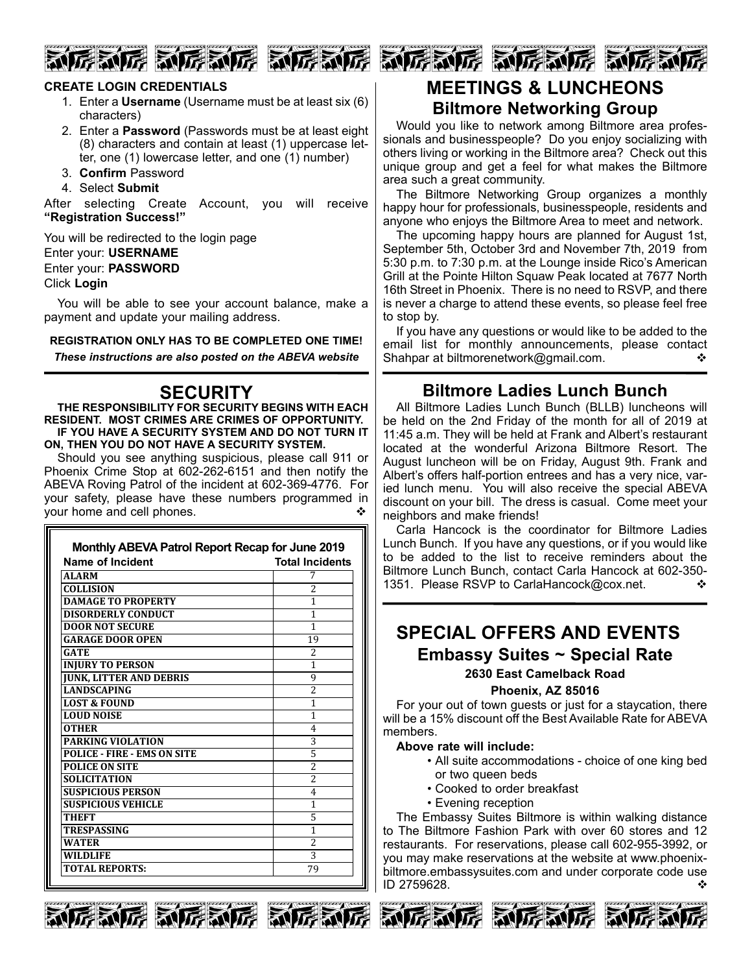## **RUFE RUFE RUFEN**

## **CREATE LOGIN CREDENTIALS**

- 1. Enter a **Username** (Username must be at least six (6) characters)
- 2. Enter a **Password** (Passwords must be at least eight (8) characters and contain at least (1) uppercase letter, one (1) lowercase letter, and one (1) number)
- 3. **Confirm** Password
- 4. Select **Submit**

After selecting Create Account, you will receive **"Registration Success!"**

You will be redirected to the login page

Enter your: **USERNAME**

Enter your: **PASSWORD**

#### Click **Login**

You will be able to see your account balance, make a payment and update your mailing address.

**REGISTRATION ONLY HAS TO BE COMPLETED ONE TIME!**

*These instructions are also posted on the ABEVA website*

## **SECURITY**

**THE RESPONSIBILITY FOR SECURITY BEGINS WITH EACH RESIDENT. MOST CRIMES ARE CRIMES OF OPPORTUNITY. IF YOU HAVE A SECURITY SYSTEM AND DO NOT TURN IT ON, THEN YOU DO NOT HAVE A SECURITY SYSTEM.**

Should you see anything suspicious, please call 911 or Phoenix Crime Stop at 602-262-6151 and then notify the ABEVA Roving Patrol of the incident at 602-369-4776. For your safety, please have these numbers programmed in your home and cell phones.

| Name of Incident                   | <b>Total Incidents</b>   |
|------------------------------------|--------------------------|
| <b>ALARM</b>                       |                          |
| <b>COLLISION</b>                   | 2                        |
| <b>DAMAGE TO PROPERTY</b>          | 1                        |
| <b>DISORDERLY CONDUCT</b>          | 1                        |
| <b>DOOR NOT SECURE</b>             | 1                        |
| <b>GARAGE DOOR OPEN</b>            | 19                       |
| GATE                               | $\overline{\mathcal{L}}$ |
| <b>INJURY TO PERSON</b>            | 1                        |
| <b>JUNK, LITTER AND DEBRIS</b>     | 9                        |
| <b>LANDSCAPING</b>                 | $\overline{a}$           |
| <b>LOST &amp; FOUND</b>            | 1                        |
| <b>LOUD NOISE</b>                  | 1                        |
| <b>OTHER</b>                       | 4                        |
| <b>PARKING VIOLATION</b>           | 3                        |
| <b>POLICE - FIRE - EMS ON SITE</b> | 5                        |
| <b>POLICE ON SITE</b>              | $\overline{2}$           |
| <b>SOLICITATION</b>                | $\overline{2}$           |
| <b>SUSPICIOUS PERSON</b>           | 4                        |
| <b>SUSPICIOUS VEHICLE</b>          | 1                        |
| <b>THEFT</b>                       | 5                        |
| <b>TRESPASSING</b>                 | 1                        |
| <b>WATER</b>                       | $\overline{2}$           |
| <b>WILDLIFE</b>                    | 3                        |
| <b>TOTAL REPORTS:</b>              | 79                       |



## **MEETINGS & LUNCHEONS**

## **Biltmore Networking Group**

Would you like to network among Biltmore area professionals and businesspeople? Do you enjoy socializing with others living or working in the Biltmore area? Check out this unique group and get a feel for what makes the Biltmore area such a great community.

The Biltmore Networking Group organizes a monthly happy hour for professionals, businesspeople, residents and anyone who enjoys the Biltmore Area to meet and network.

The upcoming happy hours are planned for August 1st, September 5th, October 3rd and November 7th, 2019 from 5:30 p.m. to 7:30 p.m. at the Lounge inside Rico's American Grill at the Pointe Hilton Squaw Peak located at 7677 North 16th Street in Phoenix. There is no need to RSVP, and there is never a charge to attend these events, so please feel free to stop by.

If you have any questions or would like to be added to the email list for monthly announcements, please contact Shahpar at biltmorenetwork@gmail.com.  $\diamond$ 

## **Biltmore Ladies Lunch Bunch**

All Biltmore Ladies Lunch Bunch (BLLB) luncheons will be held on the 2nd Friday of the month for all of 2019 at 11:45 a.m. They will be held at Frank and Albert's restaurant located at the wonderful Arizona Biltmore Resort. The August luncheon will be on Friday, August 9th. Frank and Albert's offers half-portion entrees and has a very nice, varied lunch menu. You will also receive the special ABEVA discount on your bill. The dress is casual. Come meet your neighbors and make friends!

Carla Hancock is the coordinator for Biltmore Ladies Lunch Bunch. If you have any questions, or if you would like to be added to the list to receive reminders about the Biltmore Lunch Bunch, contact Carla Hancock at 602-350- 1351. Please RSVP to CarlaHancock@cox.net.

## **SPECIAL OFFERS AND EVENTS Embassy Suites ~ Special Rate 2630 East Camelback Road**

**Phoenix, AZ 85016**

For your out of town guests or just for a staycation, there will be a 15% discount off the Best Available Rate for ABEVA members.

#### **Above rate will include:**

- All suite accommodations choice of one king bed or two queen beds
- Cooked to order breakfast
- Evening reception

The Embassy Suites Biltmore is within walking distance to The Biltmore Fashion Park with over 60 stores and 12 restaurants. For reservations, please call 602-955-3992, or you may make reservations at the website at www.phoenixbiltmore.embassysuites.com and under corporate code use  $ID$  2759628.











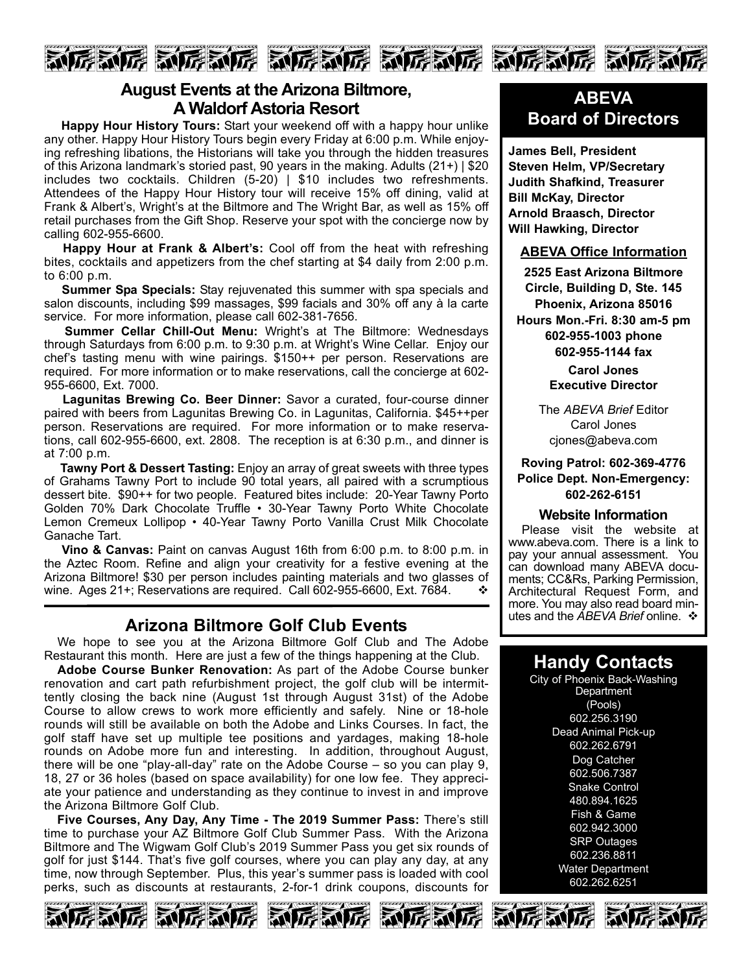

## **August Events at the Arizona Biltmore, A Waldorf Astoria Resort**

**Happy Hour History Tours:** Start your weekend off with a happy hour unlike any other. Happy Hour History Tours begin every Friday at 6:00 p.m. While enjoying refreshing libations, the Historians will take you through the hidden treasures of this Arizona landmark's storied past, 90 years in the making. Adults (21+) | \$20 includes two cocktails. Children (5-20) | \$10 includes two refreshments. Attendees of the Happy Hour History tour will receive 15% off dining, valid at Frank & Albert's, Wright's at the Biltmore and The Wright Bar, as well as 15% off retail purchases from the Gift Shop. Reserve your spot with the concierge now by calling 602-955-6600.

**Happy Hour at Frank & Albert's:** Cool off from the heat with refreshing bites, cocktails and appetizers from the chef starting at \$4 daily from 2:00 p.m. to 6:00 p.m.

**Summer Spa Specials:** Stay rejuvenated this summer with spa specials and salon discounts, including \$99 massages, \$99 facials and 30% off any à la carte service. For more information, please call 602-381-7656.

**Summer Cellar Chill-Out Menu:** Wright's at The Biltmore: Wednesdays through Saturdays from 6:00 p.m. to 9:30 p.m. at Wright's Wine Cellar. Enjoy our chef's tasting menu with wine pairings. \$150++ per person. Reservations are required. For more information or to make reservations, call the concierge at 602- 955-6600, Ext. 7000.

**Lagunitas Brewing Co. Beer Dinner:** Savor a curated, four-course dinner paired with beers from Lagunitas Brewing Co. in Lagunitas, California. \$45++per person. Reservations are required. For more information or to make reservations, call 602-955-6600, ext. 2808. The reception is at 6:30 p.m., and dinner is at 7:00 p.m.

**Tawny Port & Dessert Tasting:** Enjoy an array of great sweets with three types of Grahams Tawny Port to include 90 total years, all paired with a scrumptious dessert bite. \$90++ for two people. Featured bites include: 20-Year Tawny Porto Golden 70% Dark Chocolate Truffle • 30-Year Tawny Porto White Chocolate Lemon Cremeux Lollipop • 40-Year Tawny Porto Vanilla Crust Milk Chocolate Ganache Tart.

**Vino & Canvas:** Paint on canvas August 16th from 6:00 p.m. to 8:00 p.m. in the Aztec Room. Refine and align your creativity for a festive evening at the Arizona Biltmore! \$30 per person includes painting materials and two glasses of wine. Ages 21+; Reservations are required. Call 602-955-6600, Ext. 7684.  $\bullet\bullet$ 

## **Arizona Biltmore Golf Club Events**

We hope to see you at the Arizona Biltmore Golf Club and The Adobe Restaurant this month. Here are just a few of the things happening at the Club.

**Adobe Course Bunker Renovation:** As part of the Adobe Course bunker renovation and cart path refurbishment project, the golf club will be intermittently closing the back nine (August 1st through August 31st) of the Adobe Course to allow crews to work more efficiently and safely. Nine or 18-hole rounds will still be available on both the Adobe and Links Courses. In fact, the golf staff have set up multiple tee positions and yardages, making 18-hole rounds on Adobe more fun and interesting. In addition, throughout August, there will be one "play-all-day" rate on the Adobe Course – so you can play 9, 18, 27 or 36 holes (based on space availability) for one low fee. They appreciate your patience and understanding as they continue to invest in and improve the Arizona Biltmore Golf Club.

**Five Courses, Any Day, Any Time - The 2019 Summer Pass:** There's still time to purchase your AZ Biltmore Golf Club Summer Pass. With the Arizona Biltmore and The Wigwam Golf Club's 2019 Summer Pass you get six rounds of golf for just \$144. That's five golf courses, where you can play any day, at any time, now through September. Plus, this year's summer pass is loaded with cool perks, such as discounts at restaurants, 2-for-1 drink coupons, discounts for





**James Bell, President Steven Helm, VP/Secretary Judith Shafkind, Treasurer Bill McKay, Director Arnold Braasch, Director Will Hawking, Director**

### **ABEVA Office Information**

**2525 East Arizona Biltmore Circle, Building D, Ste. 145 Phoenix, Arizona 85016 Hours Mon.-Fri. 8:30 am-5 pm 602-955-1003 phone 602-955-1144 fax**

> **Carol Jones Executive Director**

The *ABEVA Brief* Editor Carol Jones cjones@abeva.com

## **Roving Patrol: 602-369-4776 Police Dept. Non-Emergency: 602-262-6151**

### **Website Information**

Please visit the website at www.abeva.com. There is a link to pay your annual assessment. You can download many ABEVA documents; CC&Rs, Parking Permission, Architectural Request Form, and more. You may also read board minutes and the *ABEVA Brief* online. ❖

## **Handy Contacts**

City of Phoenix Back-Washing **Department** (Pools) 602.256.3190 Dead Animal Pick-up 602.262.6791 Dog Catcher 602.506.7387 **Snake Control** 480.894.1625 Fish & Game 602.942.3000 SRP Outages 602.236.8811 Water Department 602.262.6251